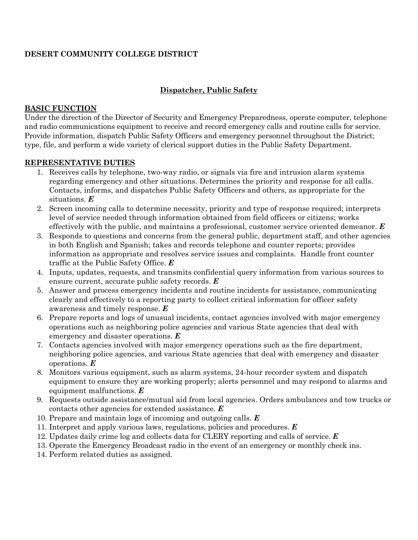## **DESERT COMMUNITY COLLEGE DISTRICT**

## **Dispatcher, Public Safety**

#### **BASIC FUNCTION**

Under the direction of the Director of Security and Emergency Preparedness, operate computer, telephone and radio communications equipment to receive and record emergency calls and routine calls for service. Provide information, dispatch Public Safety Officers and emergency personnel throughout the District; type, file, and perform a wide variety of clerical support duties in the Public Safety Department.

### **REPRESENTATIVE DUTIES**

- 1. Receives calls by telephone, two-way radio, or signals via fire and intrusion alarm systems regarding emergency and other situations. Determines the priority and response for all calls. Contacts, informs, and dispatches Public Safety Officers and others, as appropriate for the situations. *E*
- 2. Screen incoming calls to determine necessity, priority and type of response required; interprets level of service needed through information obtained from field officers or citizens; works effectively with the public, and maintains a professional, customer service oriented demeanor. *E*
- 3. Responds to questions and concerns from the general public, department staff, and other agencies in both English and Spanish; takes and records telephone and counter reports; provides information as appropriate and resolves service issues and complaints. Handle front counter traffic at the Public Safety Office. *E*
- 4. Inputs, updates, requests, and transmits confidential query information from various sources to ensure current, accurate public safety records. *E*
- 5. Answer and process emergency incidents and routine incidents for assistance, communicating clearly and effectively to a reporting party to collect critical information for officer safety awareness and timely response. *E*
- 6. Prepare reports and logs of unusual incidents, contact agencies involved with major emergency operations such as neighboring police agencies and various State agencies that deal with emergency and disaster operations. *E*
- 7. Contacts agencies involved with major emergency operations such as the fire department, neighboring police agencies, and various State agencies that deal with emergency and disaster operations. *E*
- 8. Monitors various equipment, such as alarm systems, 24-hour recorder system and dispatch equipment to ensure they are working properly; alerts personnel and may respond to alarms and equipment malfunctions. *E*
- 9. Requests outside assistance/mutual aid from local agencies. Orders ambulances and tow trucks or contacts other agencies for extended assistance. *E*
- 10. Prepare and maintain logs of incoming and outgoing calls. *E*
- 11. Interpret and apply various laws, regulations, policies and procedures. *E*
- 12. Updates daily crime log and collects data for CLERY reporting and calls of service. *E*
- 13. Operate the Emergency Broadcast radio in the event of an emergency or monthly check ins.
- 14. Perform related duties as assigned.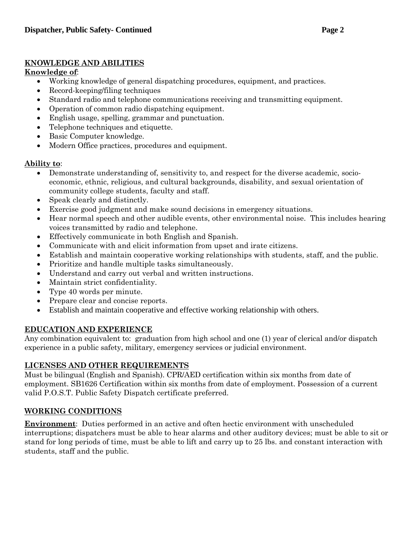### **KNOWLEDGE AND ABILITIES**

## **Knowledge of**:

- Working knowledge of general dispatching procedures, equipment, and practices.
- Record-keeping/filing techniques
- Standard radio and telephone communications receiving and transmitting equipment.
- Operation of common radio dispatching equipment.
- English usage, spelling, grammar and punctuation.
- Telephone techniques and etiquette.
- Basic Computer knowledge.
- Modern Office practices, procedures and equipment.

## **Ability to**:

- Demonstrate understanding of, sensitivity to, and respect for the diverse academic, socioeconomic, ethnic, religious, and cultural backgrounds, disability, and sexual orientation of community college students, faculty and staff.
- Speak clearly and distinctly.
- Exercise good judgment and make sound decisions in emergency situations.
- Hear normal speech and other audible events, other environmental noise. This includes hearing voices transmitted by radio and telephone.
- Effectively communicate in both English and Spanish.
- Communicate with and elicit information from upset and irate citizens.
- Establish and maintain cooperative working relationships with students, staff, and the public.
- Prioritize and handle multiple tasks simultaneously.
- Understand and carry out verbal and written instructions.
- Maintain strict confidentiality.
- Type 40 words per minute.
- Prepare clear and concise reports.
- Establish and maintain cooperative and effective working relationship with others.

# **EDUCATION AND EXPERIENCE**

Any combination equivalent to: graduation from high school and one (1) year of clerical and/or dispatch experience in a public safety, military, emergency services or judicial environment.

# **LICENSES AND OTHER REQUIREMENTS**

Must be bilingual (English and Spanish). CPR/AED certification within six months from date of employment. SB1626 Certification within six months from date of employment. Possession of a current valid P.O.S.T. Public Safety Dispatch certificate preferred.

# **WORKING CONDITIONS**

**Environment**: Duties performed in an active and often hectic environment with unscheduled interruptions; dispatchers must be able to hear alarms and other auditory devices; must be able to sit or stand for long periods of time, must be able to lift and carry up to 25 lbs. and constant interaction with students, staff and the public.